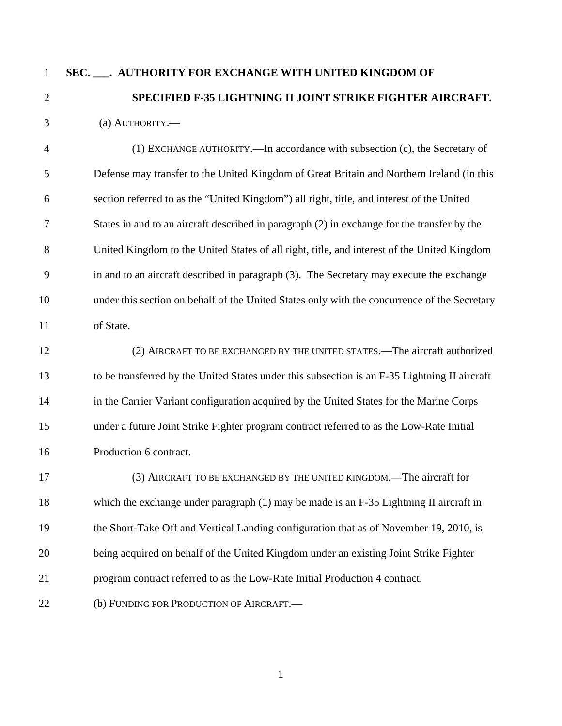## 1

2

## **SEC. \_\_\_. AUTHORITY FOR EXCHANGE WITH UNITED KINGDOM OF SPECIFIED F-35 LIGHTNING II JOINT STRIKE FIGHTER AIRCRAFT.**

3 (a) AUTHORITY.—

4 5 6 7 8 9 10 11 (1) EXCHANGE AUTHORITY.—In accordance with subsection (c), the Secretary of Defense may transfer to the United Kingdom of Great Britain and Northern Ireland (in this section referred to as the "United Kingdom") all right, title, and interest of the United States in and to an aircraft described in paragraph (2) in exchange for the transfer by the United Kingdom to the United States of all right, title, and interest of the United Kingdom in and to an aircraft described in paragraph (3). The Secretary may execute the exchange under this section on behalf of the United States only with the concurrence of the Secretary of State.

12 13 14 15 16 (2) AIRCRAFT TO BE EXCHANGED BY THE UNITED STATES.—The aircraft authorized to be transferred by the United States under this subsection is an F-35 Lightning II aircraft in the Carrier Variant configuration acquired by the United States for the Marine Corps under a future Joint Strike Fighter program contract referred to as the Low-Rate Initial Production 6 contract.

17 18 19 20 21 22 (3) AIRCRAFT TO BE EXCHANGED BY THE UNITED KINGDOM.—The aircraft for which the exchange under paragraph (1) may be made is an F-35 Lightning II aircraft in the Short-Take Off and Vertical Landing configuration that as of November 19, 2010, is being acquired on behalf of the United Kingdom under an existing Joint Strike Fighter program contract referred to as the Low-Rate Initial Production 4 contract. (b) FUNDING FOR PRODUCTION OF AIRCRAFT.—

1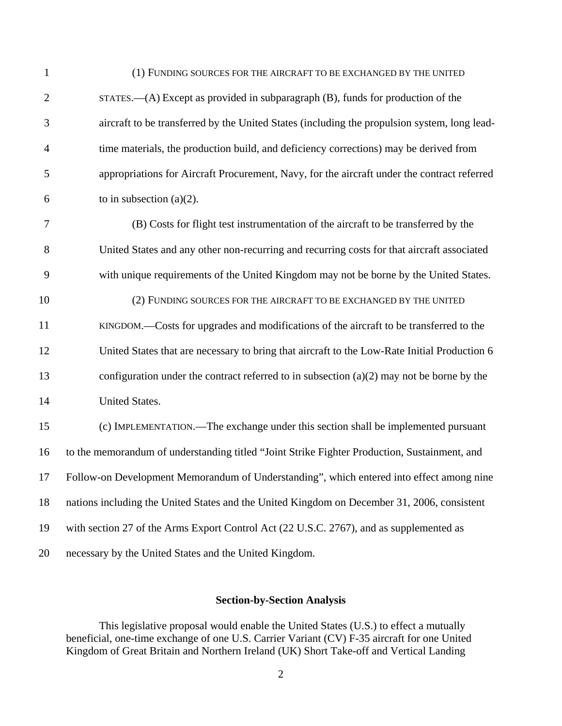| $\mathbf{1}$ | (1) FUNDING SOURCES FOR THE AIRCRAFT TO BE EXCHANGED BY THE UNITED                           |
|--------------|----------------------------------------------------------------------------------------------|
| $\mathbf{2}$ | $STATES. — (A) Except as provided in subparagnen (B), funds for production of the$           |
| 3            | aircraft to be transferred by the United States (including the propulsion system, long lead- |
| 4            | time materials, the production build, and deficiency corrections) may be derived from        |
| 5            | appropriations for Aircraft Procurement, Navy, for the aircraft under the contract referred  |
| 6            | to in subsection $(a)(2)$ .                                                                  |
| 7            | (B) Costs for flight test instrumentation of the aircraft to be transferred by the           |
| 8            | United States and any other non-recurring and recurring costs for that aircraft associated   |
| 9            | with unique requirements of the United Kingdom may not be borne by the United States.        |
| 10           | (2) FUNDING SOURCES FOR THE AIRCRAFT TO BE EXCHANGED BY THE UNITED                           |
| 11           | KINGDOM.—Costs for upgrades and modifications of the aircraft to be transferred to the       |
| 12           | United States that are necessary to bring that aircraft to the Low-Rate Initial Production 6 |
| 13           | configuration under the contract referred to in subsection $(a)(2)$ may not be borne by the  |
| 14           | United States.                                                                               |
| 15           | (c) IMPLEMENTATION.—The exchange under this section shall be implemented pursuant            |
| 16           | to the memorandum of understanding titled "Joint Strike Fighter Production, Sustainment, and |
|              | 17 Follow-on Development Memorandum of Understanding", which entered into effect among nine  |
| 18           | nations including the United States and the United Kingdom on December 31, 2006, consistent  |
| 19           | with section 27 of the Arms Export Control Act (22 U.S.C. 2767), and as supplemented as      |
| 20           | necessary by the United States and the United Kingdom.                                       |

## **Section-by-Section Analysis**

 This legislative proposal would enable the United States (U.S.) to effect a mutually beneficial, one-time exchange of one U.S. Carrier Variant (CV) F-35 aircraft for one United Kingdom of Great Britain and Northern Ireland (UK) Short Take-off and Vertical Landing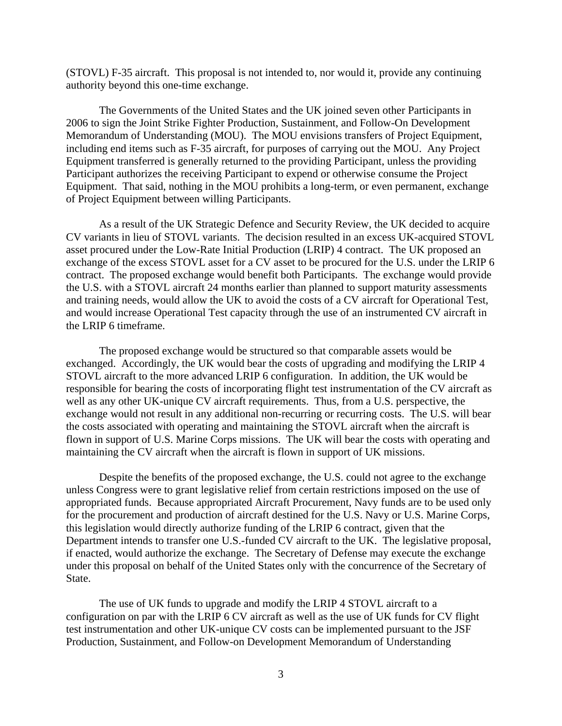(STOVL) F-35 aircraft. This proposal is not intended to, nor would it, provide any continuing authority beyond this one-time exchange.

 The Governments of the United States and the UK joined seven other Participants in 2006 to sign the Joint Strike Fighter Production, Sustainment, and Follow-On Development Memorandum of Understanding (MOU). The MOU envisions transfers of Project Equipment, including end items such as F-35 aircraft, for purposes of carrying out the MOU. Any Project Equipment transferred is generally returned to the providing Participant, unless the providing Participant authorizes the receiving Participant to expend or otherwise consume the Project Equipment. That said, nothing in the MOU prohibits a long-term, or even permanent, exchange of Project Equipment between willing Participants.

As a result of the UK Strategic Defence and Security Review, the UK decided to acquire CV variants in lieu of STOVL variants. The decision resulted in an excess UK-acquired STOVL asset procured under the Low-Rate Initial Production (LRIP) 4 contract. The UK proposed an exchange of the excess STOVL asset for a CV asset to be procured for the U.S. under the LRIP 6 contract. The proposed exchange would benefit both Participants. The exchange would provide the U.S. with a STOVL aircraft 24 months earlier than planned to support maturity assessments and training needs, would allow the UK to avoid the costs of a CV aircraft for Operational Test, and would increase Operational Test capacity through the use of an instrumented CV aircraft in the LRIP 6 timeframe.

 The proposed exchange would be structured so that comparable assets would be exchanged. Accordingly, the UK would bear the costs of upgrading and modifying the LRIP 4 STOVL aircraft to the more advanced LRIP 6 configuration. In addition, the UK would be responsible for bearing the costs of incorporating flight test instrumentation of the CV aircraft as well as any other UK-unique CV aircraft requirements. Thus, from a U.S. perspective, the exchange would not result in any additional non-recurring or recurring costs. The U.S. will bear the costs associated with operating and maintaining the STOVL aircraft when the aircraft is flown in support of U.S. Marine Corps missions. The UK will bear the costs with operating and maintaining the CV aircraft when the aircraft is flown in support of UK missions.

 Despite the benefits of the proposed exchange, the U.S. could not agree to the exchange unless Congress were to grant legislative relief from certain restrictions imposed on the use of appropriated funds. Because appropriated Aircraft Procurement, Navy funds are to be used only for the procurement and production of aircraft destined for the U.S. Navy or U.S. Marine Corps, this legislation would directly authorize funding of the LRIP 6 contract, given that the Department intends to transfer one U.S.-funded CV aircraft to the UK. The legislative proposal, if enacted, would authorize the exchange. The Secretary of Defense may execute the exchange under this proposal on behalf of the United States only with the concurrence of the Secretary of State.

 The use of UK funds to upgrade and modify the LRIP 4 STOVL aircraft to a configuration on par with the LRIP 6 CV aircraft as well as the use of UK funds for CV flight test instrumentation and other UK-unique CV costs can be implemented pursuant to the JSF Production, Sustainment, and Follow-on Development Memorandum of Understanding